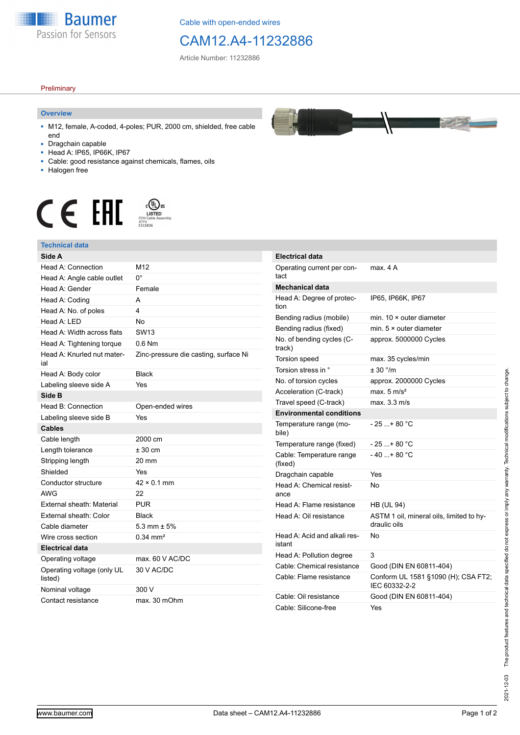

Cable with open-ended wires

# CAM12.A4-11232886

Article Number: 11232886

### **Preliminary**

### **Overview**

- M12, female, A-coded, 4-poles; PUR, 2000 cm, shielded, free cable end
- Dragchain capable
- Head A: IP65, IP66K, IP67
- Cable: good resistance against chemicals, flames, oils
- Halogen free



## **Technical data**

| Side A                                |                                       | E                        |
|---------------------------------------|---------------------------------------|--------------------------|
| Head A: Connection                    | M12                                   | C                        |
| Head A: Angle cable outlet            | $0^{\circ}$                           | t                        |
| Head A: Gender                        | Female                                | N                        |
| Head A: Coding                        | A                                     | ŀ                        |
| Head A: No. of poles                  | 4                                     | ti                       |
| Head A: LED                           | No                                    | E                        |
| Head A: Width across flats            | SW <sub>13</sub>                      | E                        |
| Head A: Tightening torque             | $0.6$ Nm                              | N<br>t                   |
| Head A: Knurled nut mater-<br>ial     | Zinc-pressure die casting, surface Ni | ٦                        |
| Head A: Body color                    | <b>Black</b>                          | ٦                        |
| Labeling sleeve side A                | Yes                                   | N                        |
| Side B                                |                                       | ŀ                        |
| Head B: Connection                    | Open-ended wires                      | ٦                        |
| Labeling sleeve side B                | Yes                                   | E                        |
| <b>Cables</b>                         |                                       | ٦<br>t                   |
| Cable length                          | 2000 cm                               | I                        |
| Length tolerance                      | $± 30$ cm                             | C                        |
| Stripping length                      | 20 mm                                 | $\overline{\phantom{a}}$ |
| Shielded                              | Yes                                   | D                        |
| Conductor structure                   | $42 \times 0.1$ mm                    | ŀ                        |
| <b>AWG</b>                            | 22                                    | a                        |
| External sheath: Material             | <b>PUR</b>                            | ŀ                        |
| External sheath: Color                | <b>Black</b>                          | ŀ                        |
| Cable diameter                        | 5.3 mm $\pm$ 5%                       |                          |
| Wire cross section                    | $0.34 \, \text{mm}^2$                 | ŀ                        |
| <b>Electrical data</b>                |                                       | i:                       |
| Operating voltage                     | max. 60 V AC/DC                       | ŀ                        |
| Operating voltage (only UL<br>listed) | 30 V AC/DC                            | C<br>C                   |
| Nominal voltage                       | 300 V                                 |                          |
| Contact resistance                    | max. 30 mOhm                          | C<br>C                   |



| <b>Electrical data</b>                 |                                                          |
|----------------------------------------|----------------------------------------------------------|
| Operating current per con-<br>tact     | max. 4 A                                                 |
| <b>Mechanical data</b>                 |                                                          |
| Head A: Degree of protec-<br>tion      | IP65, IP66K, IP67                                        |
| Bending radius (mobile)                | min. $10 \times$ outer diameter                          |
| Bending radius (fixed)                 | min. $5 \times$ outer diameter                           |
| No. of bending cycles (C-<br>track)    | approx. 5000000 Cycles                                   |
| Torsion speed                          | max. 35 cycles/min                                       |
| Torsion stress in °                    | ± 30 °/m                                                 |
| No. of torsion cycles                  | approx. 2000000 Cycles                                   |
| Acceleration (C-track)                 | max. $5 \text{ m/s}^2$                                   |
| Travel speed (C-track)                 | max. 3.3 m/s                                             |
| <b>Environmental conditions</b>        |                                                          |
| Temperature range (mo-<br>bile)        | - 25 + 80 °C                                             |
| Temperature range (fixed)              | - 25 + 80 °C                                             |
| Cable: Temperature range<br>(fixed)    | $-40+80 °C$                                              |
| Dragchain capable                      | Yes                                                      |
| Head A: Chemical resist-<br>ance       | No                                                       |
| Head A: Flame resistance               | <b>HB (UL 94)</b>                                        |
| Head A: Oil resistance                 | ASTM 1 oil, mineral oils, limited to hy-<br>draulic oils |
| Head A: Acid and alkali res-<br>istant | No                                                       |
| Head A: Pollution degree               | 3                                                        |
| Cable: Chemical resistance             | Good (DIN EN 60811-404)                                  |
| Cable: Flame resistance                | Conform UL 1581 §1090 (H); CSA FT2;<br>IEC 60332-2-2     |
| Cable: Oil resistance                  | Good (DIN EN 60811-404)                                  |
| Cable: Silicone-free                   | Yes                                                      |